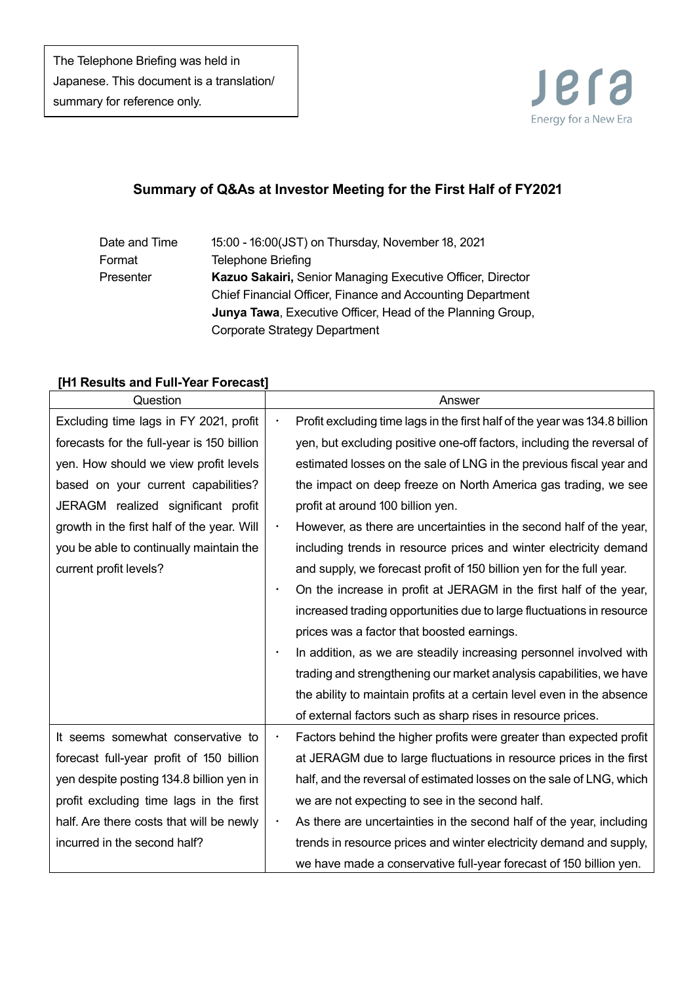

# **Summary of Q&As at Investor Meeting for the First Half of FY2021**

## Date and Time 15:00 - 16:00(JST) on Thursday, November 18, 2021 Format Telephone Briefing Presenter **Kazuo Sakairi,** Senior Managing Executive Officer, Director Chief Financial Officer, Finance and Accounting Department **Junya Tawa**, Executive Officer, Head of the Planning Group, Corporate Strategy Department

#### **[H1 Results and Full-Year Forecast]**

| Question                                   | Answer                                                                                  |
|--------------------------------------------|-----------------------------------------------------------------------------------------|
| Excluding time lags in FY 2021, profit     | Profit excluding time lags in the first half of the year was 134.8 billion<br>$\bullet$ |
| forecasts for the full-year is 150 billion | yen, but excluding positive one-off factors, including the reversal of                  |
| yen. How should we view profit levels      | estimated losses on the sale of LNG in the previous fiscal year and                     |
| based on your current capabilities?        | the impact on deep freeze on North America gas trading, we see                          |
| JERAGM realized significant profit         | profit at around 100 billion yen.                                                       |
| growth in the first half of the year. Will | However, as there are uncertainties in the second half of the year,<br>٠                |
| you be able to continually maintain the    | including trends in resource prices and winter electricity demand                       |
| current profit levels?                     | and supply, we forecast profit of 150 billion yen for the full year.                    |
|                                            | On the increase in profit at JERAGM in the first half of the year,<br>$\bullet$         |
|                                            | increased trading opportunities due to large fluctuations in resource                   |
|                                            | prices was a factor that boosted earnings.                                              |
|                                            | In addition, as we are steadily increasing personnel involved with<br>$\bullet$         |
|                                            | trading and strengthening our market analysis capabilities, we have                     |
|                                            | the ability to maintain profits at a certain level even in the absence                  |
|                                            | of external factors such as sharp rises in resource prices.                             |
| It seems somewhat conservative to          | Factors behind the higher profits were greater than expected profit                     |
| forecast full-year profit of 150 billion   | at JERAGM due to large fluctuations in resource prices in the first                     |
| yen despite posting 134.8 billion yen in   | half, and the reversal of estimated losses on the sale of LNG, which                    |
| profit excluding time lags in the first    | we are not expecting to see in the second half.                                         |
| half. Are there costs that will be newly   | As there are uncertainties in the second half of the year, including<br>$\bullet$       |
| incurred in the second half?               | trends in resource prices and winter electricity demand and supply,                     |
|                                            | we have made a conservative full-year forecast of 150 billion yen.                      |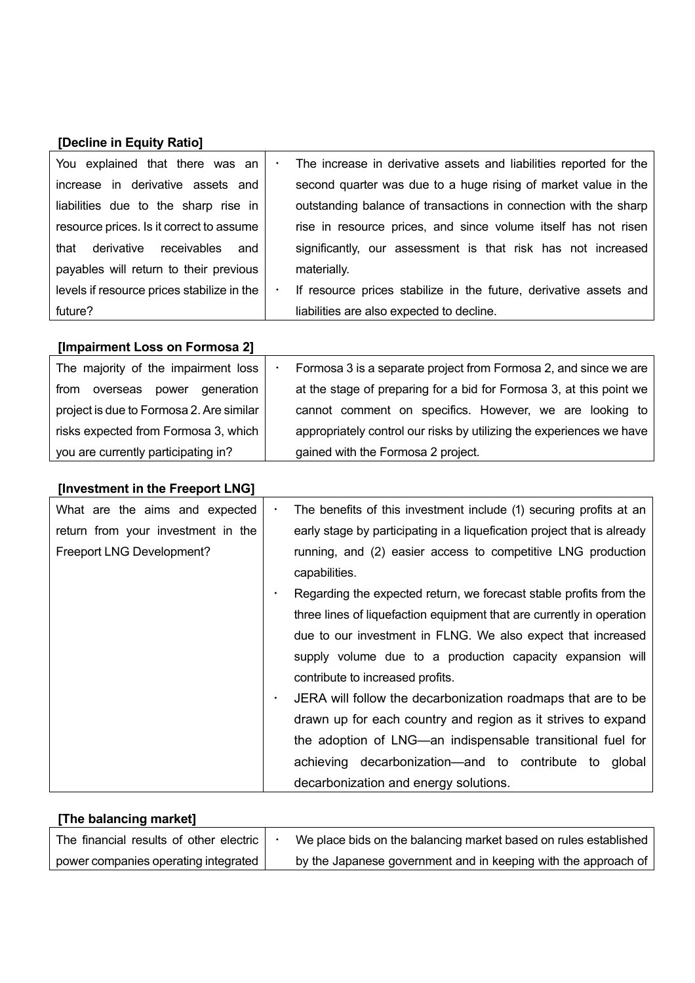#### **[Decline in Equity Ratio]**

| You explained that there was an            | The increase in derivative assets and liabilities reported for the<br>$\bullet$ |
|--------------------------------------------|---------------------------------------------------------------------------------|
| increase in derivative assets and          | second quarter was due to a huge rising of market value in the                  |
| liabilities due to the sharp rise in       | outstanding balance of transactions in connection with the sharp                |
| resource prices. Is it correct to assume   | rise in resource prices, and since volume itself has not risen                  |
| that derivative receivables<br>and         | significantly, our assessment is that risk has not increased                    |
| payables will return to their previous     | materially.                                                                     |
| levels if resource prices stabilize in the | If resource prices stabilize in the future, derivative assets and<br>٠          |
| future?                                    | liabilities are also expected to decline.                                       |

| [Impairment Loss on Formosa 2]           |                                                                      |
|------------------------------------------|----------------------------------------------------------------------|
| The majority of the impairment loss      | Formosa 3 is a separate project from Formosa 2, and since we are     |
| from<br>generation  <br>overseas power   | at the stage of preparing for a bid for Formosa 3, at this point we  |
| project is due to Formosa 2. Are similar | cannot comment on specifics. However, we are looking to              |
| risks expected from Formosa 3, which     | appropriately control our risks by utilizing the experiences we have |
| you are currently participating in?      | gained with the Formosa 2 project.                                   |

## **[Investment in the Freeport LNG]** What are the aims and expected return from your investment in the Freeport LNG Development? ・ The benefits of this investment include (1) securing profits at an early stage by participating in a liquefication project that is already running, and (2) easier access to competitive LNG production capabilities. Regarding the expected return, we forecast stable profits from the three lines of liquefaction equipment that are currently in operation due to our investment in FLNG. We also expect that increased supply volume due to a production capacity expansion will contribute to increased profits. JERA will follow the decarbonization roadmaps that are to be drawn up for each country and region as it strives to expand the adoption of LNG—an indispensable transitional fuel for achieving decarbonization—and to contribute to global decarbonization and energy solutions.

## **[The balancing market]**

| The financial results of other electric | We place bids on the balancing market based on rules established |
|-----------------------------------------|------------------------------------------------------------------|
| power companies operating integrated    | by the Japanese government and in keeping with the approach of   |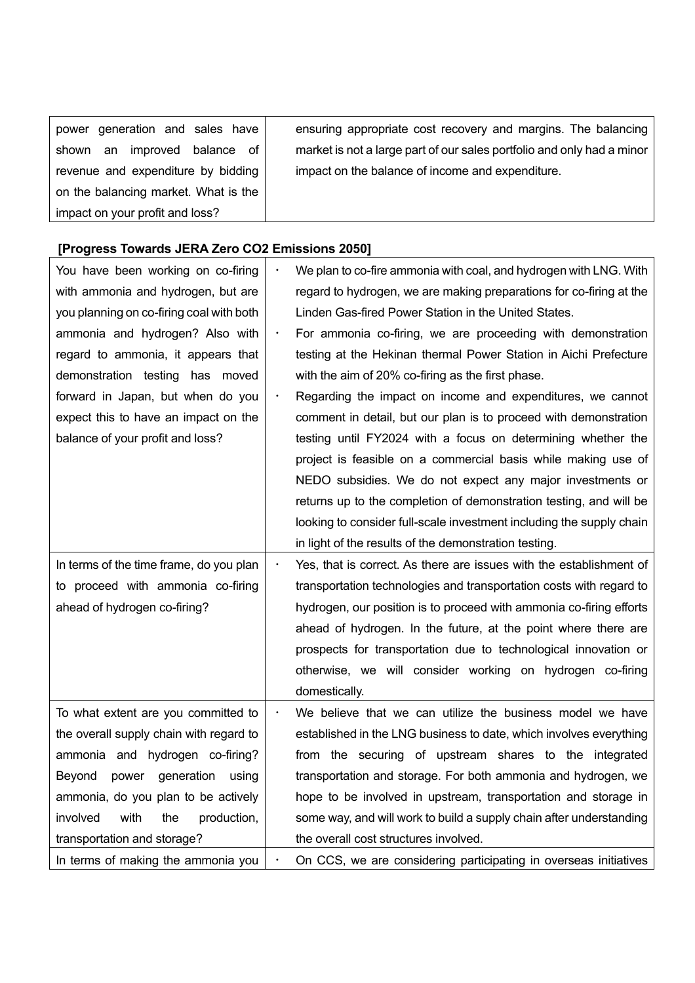| power generation and sales have      | ensuring appropriate cost recovery and margins. The balancing          |
|--------------------------------------|------------------------------------------------------------------------|
| shown an improved balance of         | market is not a large part of our sales portfolio and only had a minor |
| revenue and expenditure by bidding   | impact on the balance of income and expenditure.                       |
| on the balancing market. What is the |                                                                        |
| impact on your profit and loss?      |                                                                        |

# **[Progress Towards JERA Zero CO2 Emissions 2050]**

| You have been working on co-firing       |           | We plan to co-fire ammonia with coal, and hydrogen with LNG. With    |
|------------------------------------------|-----------|----------------------------------------------------------------------|
| with ammonia and hydrogen, but are       |           | regard to hydrogen, we are making preparations for co-firing at the  |
| you planning on co-firing coal with both |           | Linden Gas-fired Power Station in the United States.                 |
| ammonia and hydrogen? Also with          | $\bullet$ | For ammonia co-firing, we are proceeding with demonstration          |
| regard to ammonia, it appears that       |           | testing at the Hekinan thermal Power Station in Aichi Prefecture     |
| demonstration testing has moved          |           | with the aim of 20% co-firing as the first phase.                    |
| forward in Japan, but when do you        | $\bullet$ | Regarding the impact on income and expenditures, we cannot           |
| expect this to have an impact on the     |           | comment in detail, but our plan is to proceed with demonstration     |
| balance of your profit and loss?         |           | testing until FY2024 with a focus on determining whether the         |
|                                          |           | project is feasible on a commercial basis while making use of        |
|                                          |           | NEDO subsidies. We do not expect any major investments or            |
|                                          |           | returns up to the completion of demonstration testing, and will be   |
|                                          |           | looking to consider full-scale investment including the supply chain |
|                                          |           | in light of the results of the demonstration testing.                |
| In terms of the time frame, do you plan  | $\bullet$ | Yes, that is correct. As there are issues with the establishment of  |
| to proceed with ammonia co-firing        |           | transportation technologies and transportation costs with regard to  |
| ahead of hydrogen co-firing?             |           | hydrogen, our position is to proceed with ammonia co-firing efforts  |
|                                          |           | ahead of hydrogen. In the future, at the point where there are       |
|                                          |           | prospects for transportation due to technological innovation or      |
|                                          |           | otherwise, we will consider working on hydrogen co-firing            |
|                                          |           | domestically.                                                        |
| To what extent are you committed to      | $\bullet$ | We believe that we can utilize the business model we have            |
| the overall supply chain with regard to  |           | established in the LNG business to date, which involves everything   |
| ammonia and hydrogen co-firing?          |           | from the securing of upstream shares to the integrated               |
| power generation using<br>Beyond         |           | transportation and storage. For both ammonia and hydrogen, we        |
| ammonia, do you plan to be actively      |           | hope to be involved in upstream, transportation and storage in       |
| involved<br>with<br>production,<br>the   |           | some way, and will work to build a supply chain after understanding  |
| transportation and storage?              |           | the overall cost structures involved.                                |
| In terms of making the ammonia you       |           | On CCS, we are considering participating in overseas initiatives     |